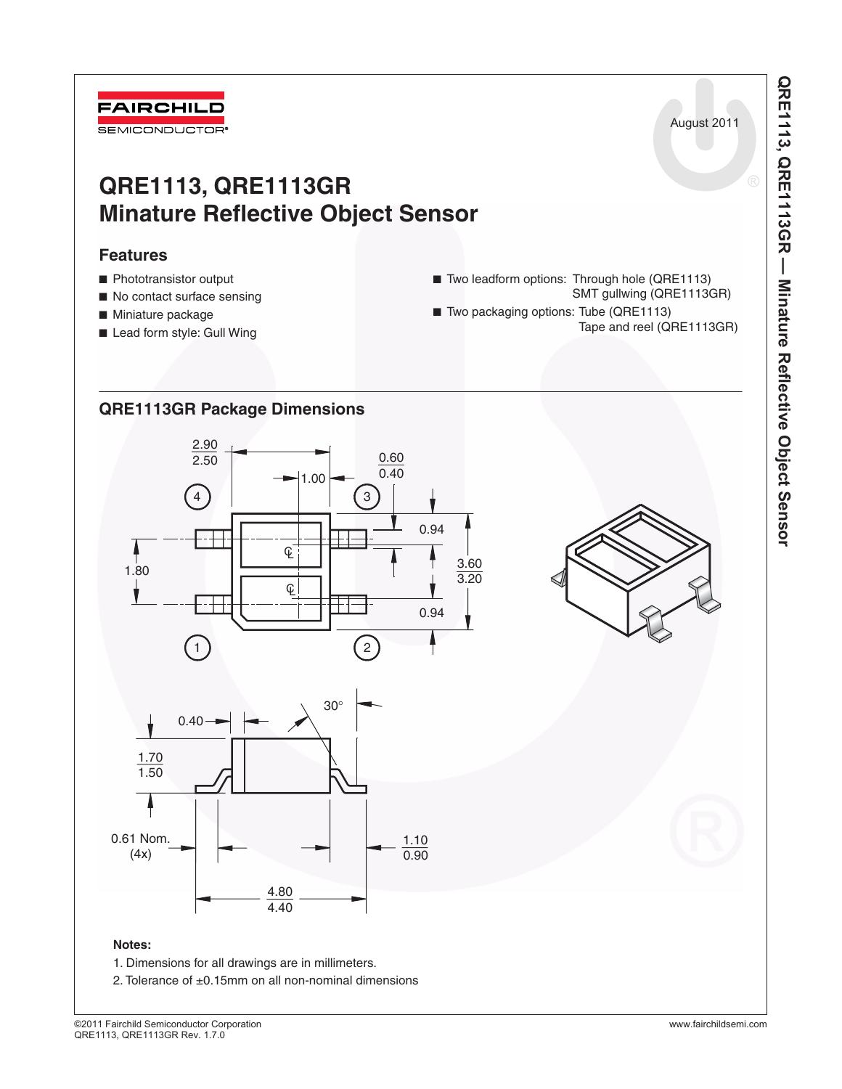

# **QRE1113, QRE1113GR Minature Reflective Object Sensor**

# **Features**

- Phototransistor output
- No contact surface sensing
- Miniature package
- Lead form style: Gull Wing

**QRE1113GR Package Dimensions**

- Two leadform options: Through hole (QRE1113) SMT gullwing (QRE1113GR)
- Two packaging options: Tube (QRE1113) Tape and reel (QRE1113GR)
- 2.90 2.50  $\frac{3.60}{3.20}$ 0.94  $\frac{3.30}{1.80}$  1.80 0.60 1.00  $\frac{C}{C}$  $0.40$ 0.94 1.70 1.50 4.80  $4.40$ 1.10 0.90 1 2 4 3 0.61 Nom. (4x) 30 ° 0.40



August 2011

# **Notes:**

- 1. Dimensions for all drawings are in millimeters.
- 2. Tolerance of ±0.15mm on all non-nominal dimensions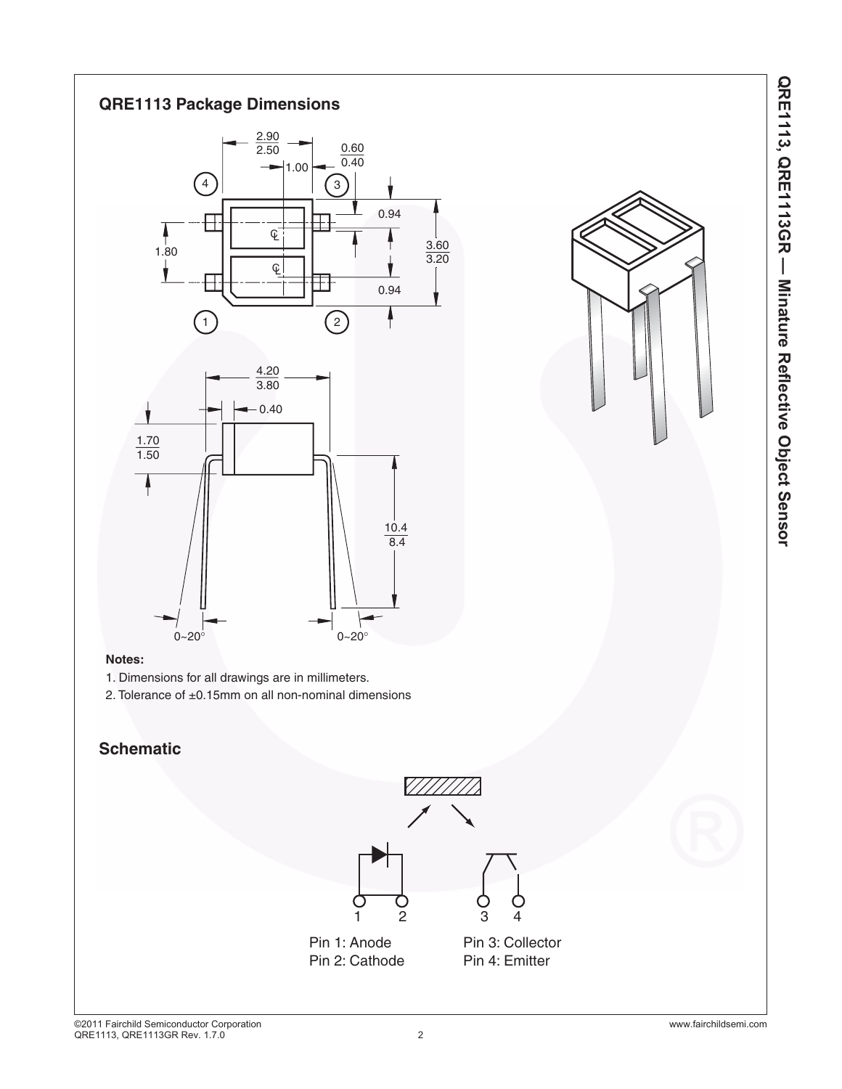

### **Notes:**

- 1. Dimensions for all drawings are in millimeters.
- 2. Tolerance of ±0.15mm on all non-nominal dimensions

# **Schematic**

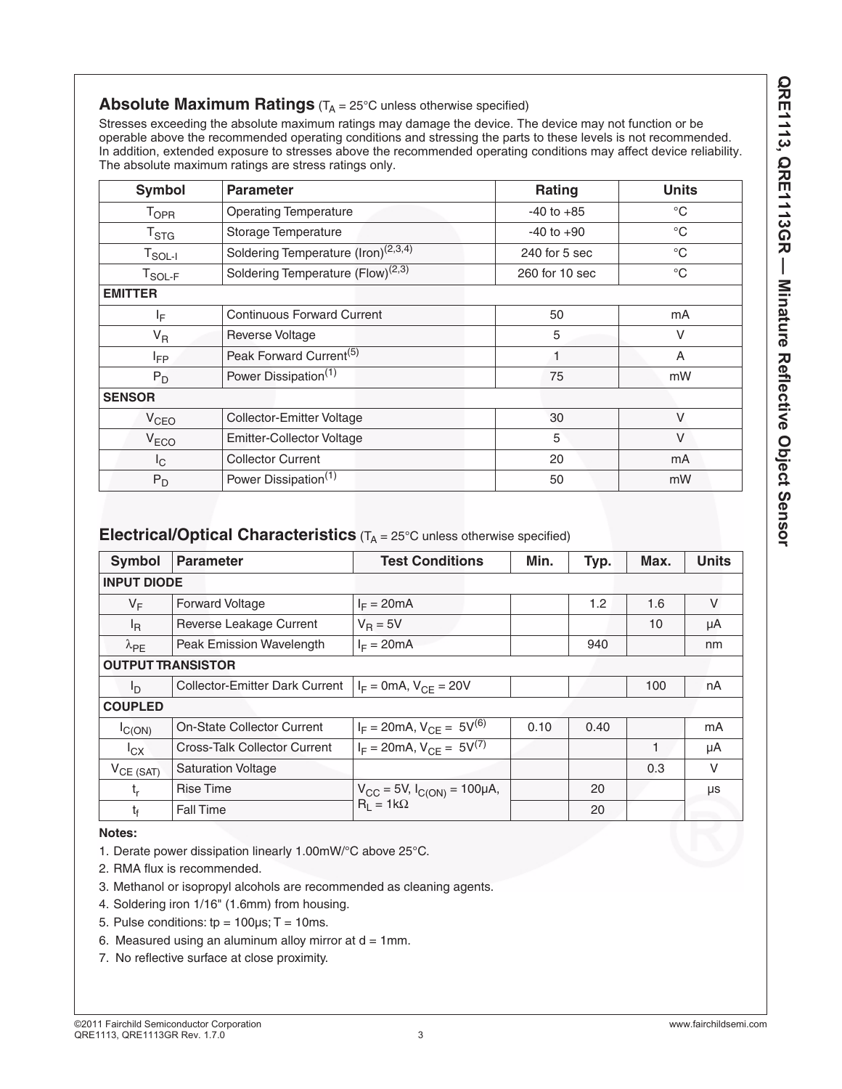# **Absolute Maximum Ratings** (T<sub>A</sub> = 25°C unless otherwise specified)

Stresses exceeding the absolute maximum ratings may damage the device. The device may not function or be operable above the recommended operating conditions and stressing the parts to these levels is not recommended. In addition, extended exposure to stresses above the recommended operating conditions may affect device reliability. The absolute maximum ratings are stress ratings only.

| <b>Symbol</b>           | <b>Parameter</b>                                | Rating         | <b>Units</b> |  |
|-------------------------|-------------------------------------------------|----------------|--------------|--|
| <b>T</b> <sub>OPR</sub> | <b>Operating Temperature</b>                    | $-40$ to $+85$ | $^{\circ}C$  |  |
| T <sub>STG</sub>        | Storage Temperature                             | $-40$ to $+90$ | $^{\circ}C$  |  |
| $T_{SOL-I}$             | Soldering Temperature (Iron) <sup>(2,3,4)</sup> | 240 for 5 sec  | $^{\circ}C$  |  |
| $T_{SOL-F}$             | Soldering Temperature (Flow) <sup>(2,3)</sup>   | 260 for 10 sec | $^{\circ}C$  |  |
| <b>EMITTER</b>          |                                                 |                |              |  |
| ΙF                      | <b>Continuous Forward Current</b>               | 50             | mA           |  |
| $V_R$                   | Reverse Voltage                                 | 5              | $\vee$       |  |
| <b>I</b> <sub>FP</sub>  | Peak Forward Current <sup>(5)</sup>             | 1              | A            |  |
| $P_D$                   | Power Dissipation <sup>(1)</sup>                | 75             | mW           |  |
| <b>SENSOR</b>           |                                                 |                |              |  |
| V <sub>CEO</sub>        | <b>Collector-Emitter Voltage</b>                | 30             | $\vee$       |  |
| V <sub>ECO</sub>        | <b>Emitter-Collector Voltage</b>                | 5              | $\vee$       |  |
| I <sub>C</sub>          | <b>Collector Current</b>                        | 20             | mA           |  |
| $P_D$                   | Power Dissipation <sup>(1)</sup>                | 50             | mW           |  |

# **Electrical/Optical Characteristics** (T<sub>A</sub> = 25°C unless otherwise specified)

| Symbol                   | <b>Parameter</b>                      | <b>Test Conditions</b>                  | Min. | Typ. | Max. | <b>Units</b> |
|--------------------------|---------------------------------------|-----------------------------------------|------|------|------|--------------|
| <b>INPUT DIODE</b>       |                                       |                                         |      |      |      |              |
| $V_F$                    | <b>Forward Voltage</b>                | $I_F = 20mA$                            |      | 1.2  | 1.6  | $\vee$       |
| $I_{\mathsf{R}}$         | Reverse Leakage Current               | $V_R = 5V$                              |      |      | 10   | μA           |
| $\lambda_{PE}$           | Peak Emission Wavelength              | $I_F = 20mA$                            |      | 940  |      | nm           |
| <b>OUTPUT TRANSISTOR</b> |                                       |                                         |      |      |      |              |
| I <sub>D</sub>           | <b>Collector-Emitter Dark Current</b> | $I_F = 0$ mA, $V_{CF} = 20V$            |      |      | 100  | nA           |
| <b>COUPLED</b>           |                                       |                                         |      |      |      |              |
| IC(ON)                   | <b>On-State Collector Current</b>     | $I_F = 20 \text{mA}, V_{CE} = 5V^{(6)}$ | 0.10 | 0.40 |      | mA           |
| $I_{\rm CX}$             | Cross-Talk Collector Current          | $I_F = 20 \text{mA}, V_{CF} = 5V^{(7)}$ |      |      |      | μA           |
| $V_{CE (SAT)}$           | <b>Saturation Voltage</b>             |                                         |      |      | 0.3  | V            |
| $t_{r}$                  | <b>Rise Time</b>                      | $V_{CC}$ = 5V, $I_{C(ON)}$ = 100µA,     |      | 20   |      | μs           |
| $t_{\rm f}$              | Fall Time                             | $R_1 = 1k\Omega$                        |      | 20   |      |              |

#### **Notes:**

- 1. Derate power dissipation linearly 1.00mW/°C above 25°C.
- 2. RMA flux is recommended.
- 3. Methanol or isopropyl alcohols are recommended as cleaning agents.
- 4. Soldering iron 1/16" (1.6mm) from housing.
- 5. Pulse conditions:  $tp = 100 \mu s$ ; T = 10ms.
- 6. Measured using an aluminum alloy mirror at  $d = 1$ mm.
- 7. No reflective surface at close proximity.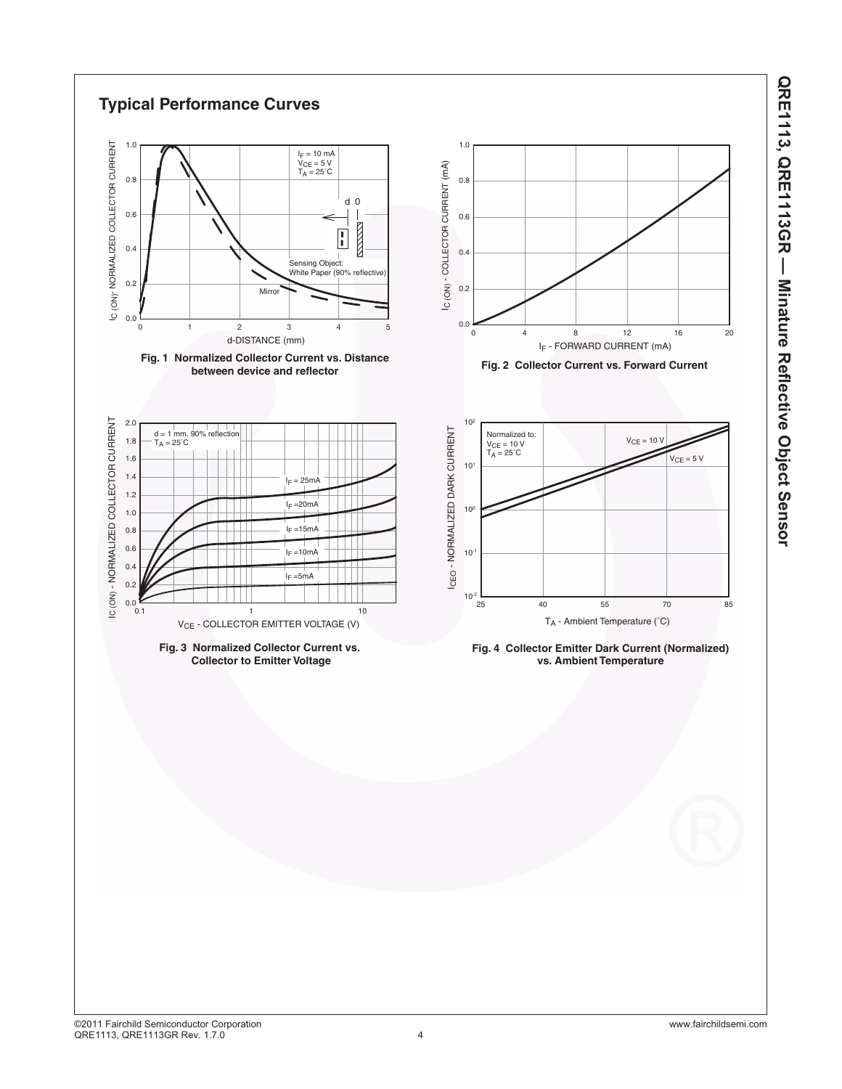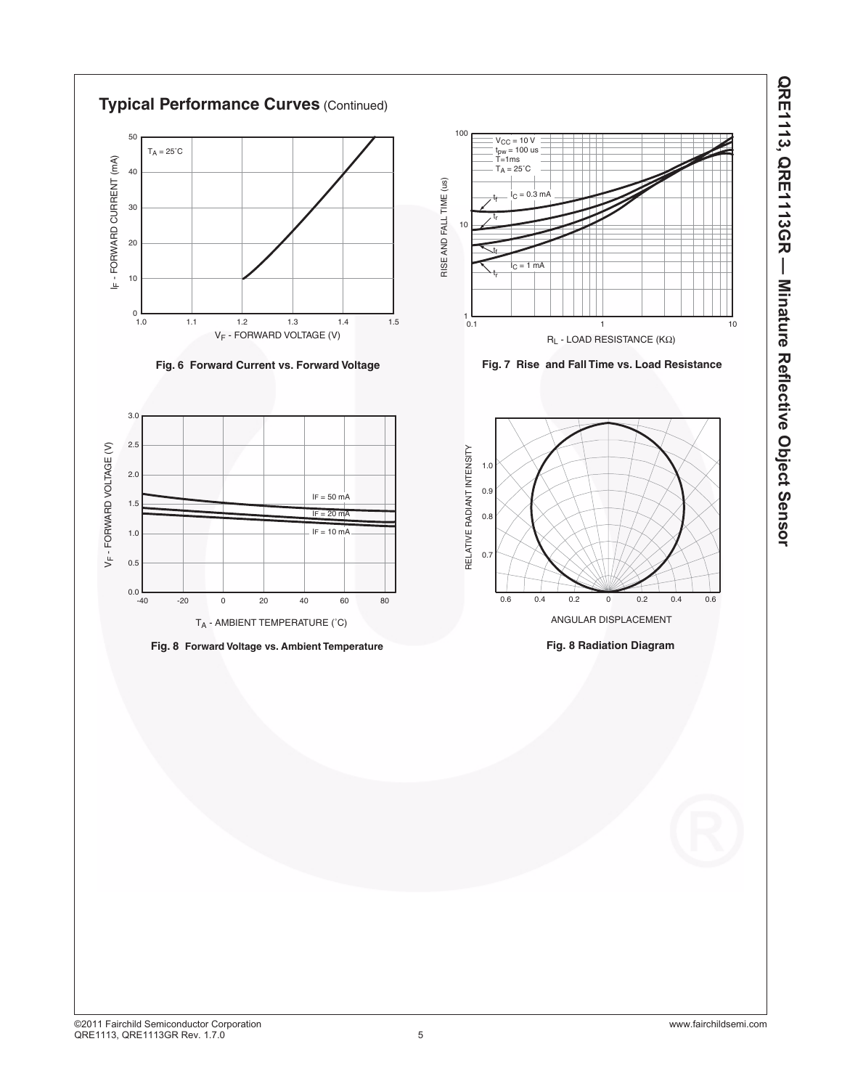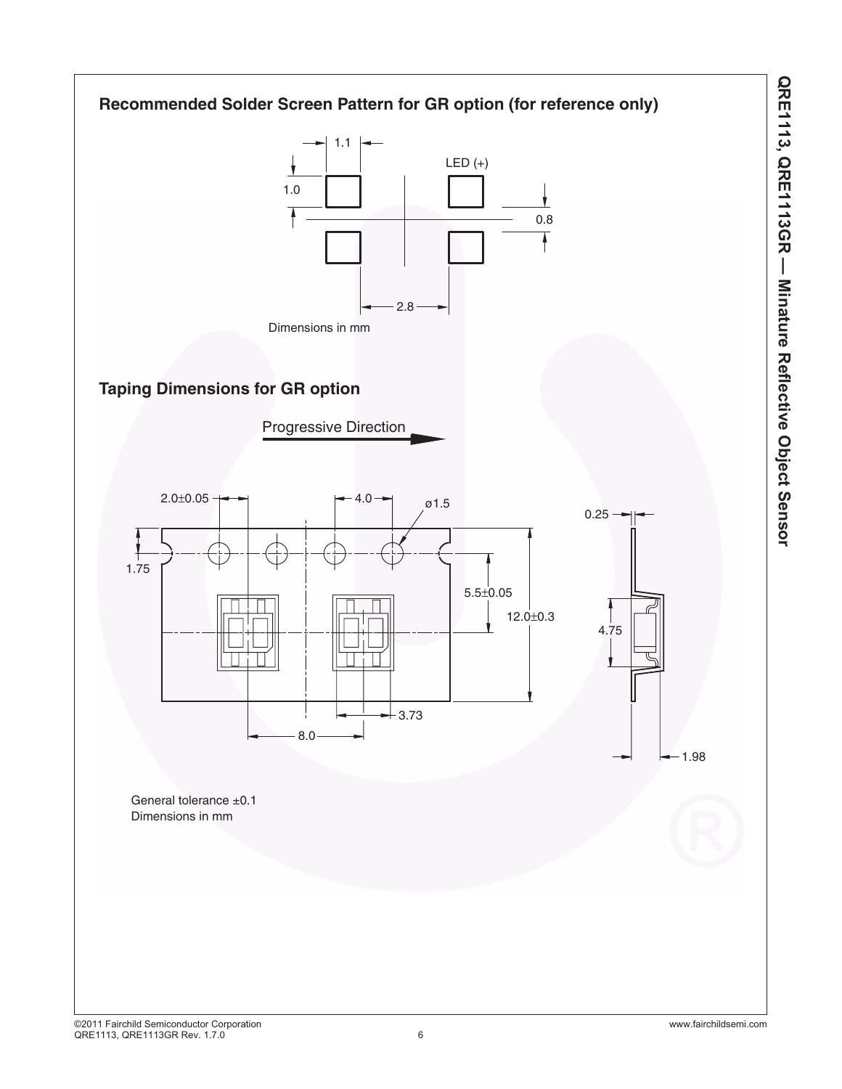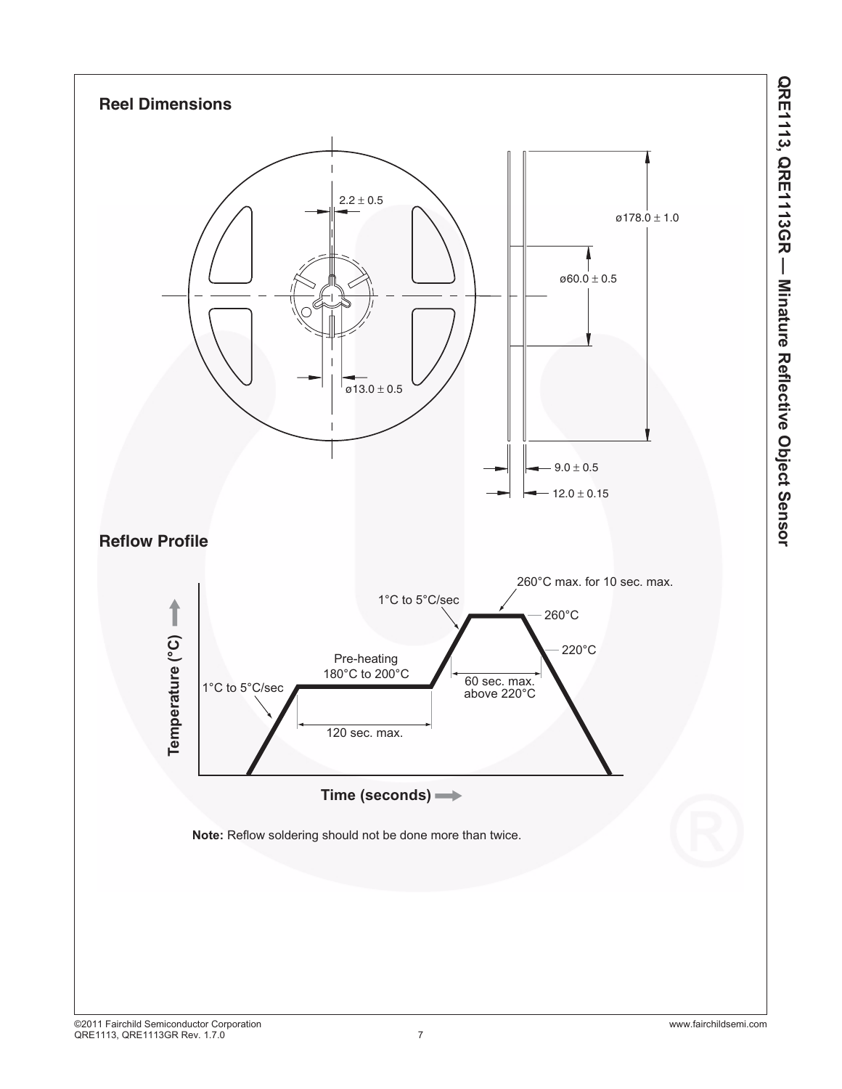